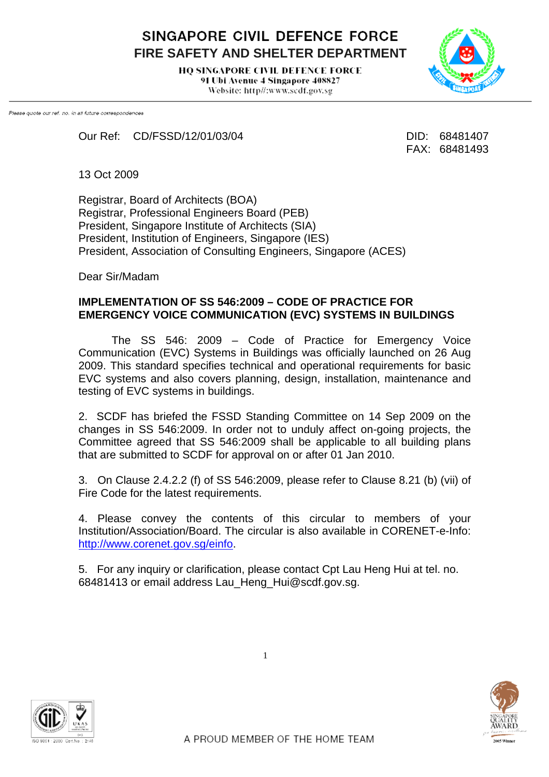SINGAPORE CIVIL DEFENCE FORCE **FIRE SAFETY AND SHELTER DEPARTMENT** 

> **HO SINGAPORE CIVIL DEFENCE FORCE** 91 Ubi Avenue 4 Singapore 408827 Website: http//:www.scdf.gov.sg



Please quote our ref. no. in all future correspondences

Our Ref: CD/FSSD/12/01/03/04 DID: 68481407

FAX: 68481493

13 Oct 2009

Registrar, Board of Architects (BOA) Registrar, Professional Engineers Board (PEB) President, Singapore Institute of Architects (SIA) President, Institution of Engineers, Singapore (IES) President, Association of Consulting Engineers, Singapore (ACES)

Dear Sir/Madam

## **IMPLEMENTATION OF SS 546:2009 – CODE OF PRACTICE FOR EMERGENCY VOICE COMMUNICATION (EVC) SYSTEMS IN BUILDINGS**

The SS 546: 2009 – Code of Practice for Emergency Voice Communication (EVC) Systems in Buildings was officially launched on 26 Aug 2009. This standard specifies technical and operational requirements for basic EVC systems and also covers planning, design, installation, maintenance and testing of EVC systems in buildings.

2. SCDF has briefed the FSSD Standing Committee on 14 Sep 2009 on the changes in SS 546:2009. In order not to unduly affect on-going projects, the Committee agreed that SS 546:2009 shall be applicable to all building plans that are submitted to SCDF for approval on or after 01 Jan 2010.

3. On Clause 2.4.2.2 (f) of SS 546:2009, please refer to Clause 8.21 (b) (vii) of Fire Code for the latest requirements.

4. Please convey the contents of this circular to members of your Institution/Association/Board. The circular is also available in CORENET-e-Info: <http://www.corenet.gov.sg/einfo>.

5. For any inquiry or clarification, please contact Cpt Lau Heng Hui at tel. no. 68481413 or email address Lau\_Heng\_Hui@scdf.gov.sg.